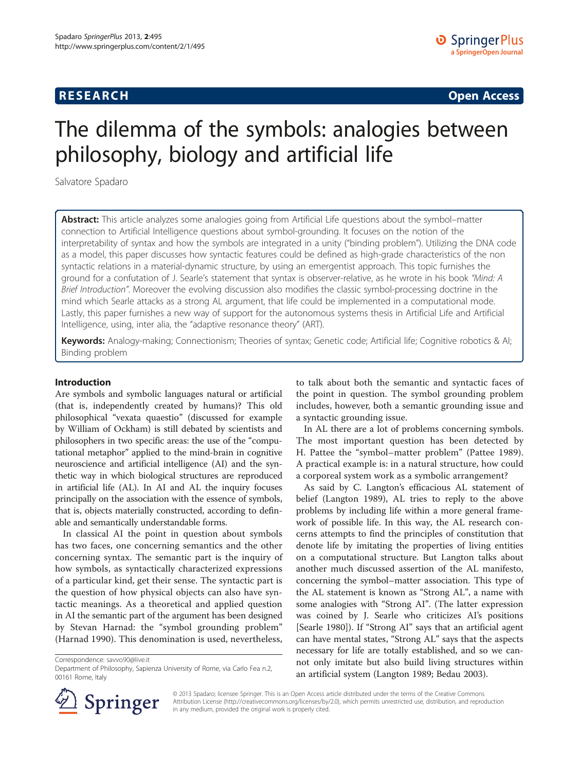## **RESEARCH RESEARCH CONSUMING ACCESS**

# The dilemma of the symbols: analogies between philosophy, biology and artificial life

Salvatore Spadaro

Abstract: This article analyzes some analogies going from Artificial Life questions about the symbol–matter connection to Artificial Intelligence questions about symbol-grounding. It focuses on the notion of the interpretability of syntax and how the symbols are integrated in a unity ("binding problem"). Utilizing the DNA code as a model, this paper discusses how syntactic features could be defined as high-grade characteristics of the non syntactic relations in a material-dynamic structure, by using an emergentist approach. This topic furnishes the ground for a confutation of J. Searle's statement that syntax is observer-relative, as he wrote in his book "Mind: A Brief Introduction". Moreover the evolving discussion also modifies the classic symbol-processing doctrine in the mind which Searle attacks as a strong AL argument, that life could be implemented in a computational mode. Lastly, this paper furnishes a new way of support for the autonomous systems thesis in Artificial Life and Artificial Intelligence, using, inter alia, the "adaptive resonance theory" (ART).

Keywords: Analogy-making; Connectionism; Theories of syntax; Genetic code; Artificial life; Cognitive robotics & AI; Binding problem

#### Introduction

Are symbols and symbolic languages natural or artificial (that is, independently created by humans)? This old philosophical "vexata quaestio" (discussed for example by William of Ockham) is still debated by scientists and philosophers in two specific areas: the use of the "computational metaphor" applied to the mind-brain in cognitive neuroscience and artificial intelligence (AI) and the synthetic way in which biological structures are reproduced in artificial life (AL). In AI and AL the inquiry focuses principally on the association with the essence of symbols, that is, objects materially constructed, according to definable and semantically understandable forms.

In classical AI the point in question about symbols has two faces, one concerning semantics and the other concerning syntax. The semantic part is the inquiry of how symbols, as syntactically characterized expressions of a particular kind, get their sense. The syntactic part is the question of how physical objects can also have syntactic meanings. As a theoretical and applied question in AI the semantic part of the argument has been designed by Stevan Harnad: the "symbol grounding problem" (Harnad [1990\)](#page-9-0). This denomination is used, nevertheless,

Correspondence: [savvo90@live.it](mailto:savvo90@live.it)

to talk about both the semantic and syntactic faces of the point in question. The symbol grounding problem includes, however, both a semantic grounding issue and a syntactic grounding issue.

In AL there are a lot of problems concerning symbols. The most important question has been detected by H. Pattee the "symbol–matter problem" (Pattee [1989](#page-9-0)). A practical example is: in a natural structure, how could a corporeal system work as a symbolic arrangement?

As said by C. Langton's efficacious AL statement of belief (Langton [1989\)](#page-9-0), AL tries to reply to the above problems by including life within a more general framework of possible life. In this way, the AL research concerns attempts to find the principles of constitution that denote life by imitating the properties of living entities on a computational structure. But Langton talks about another much discussed assertion of the AL manifesto, concerning the symbol–matter association. This type of the AL statement is known as "Strong AL", a name with some analogies with "Strong AI". (The latter expression was coined by J. Searle who criticizes AI's positions [Searle [1980](#page-9-0)]). If "Strong AI" says that an artificial agent can have mental states, "Strong AL" says that the aspects necessary for life are totally established, and so we cannot only imitate but also build living structures within an artificial system (Langton [1989;](#page-9-0) Bedau [2003\)](#page-9-0).



© 2013 Spadaro; licensee Springer. This is an Open Access article distributed under the terms of the Creative Commons Attribution License [\(http://creativecommons.org/licenses/by/2.0\)](http://creativecommons.org/licenses/by/2.0), which permits unrestricted use, distribution, and reproduction in any medium, provided the original work is properly cited.

Department of Philosophy, Sapienza University of Rome, via Carlo Fea n.2, 00161 Rome, Italy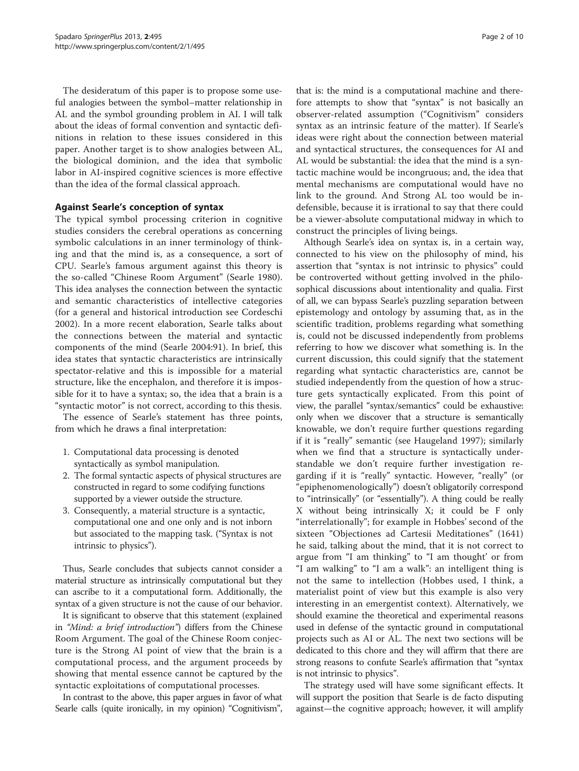The desideratum of this paper is to propose some useful analogies between the symbol–matter relationship in AL and the symbol grounding problem in AI. I will talk about the ideas of formal convention and syntactic definitions in relation to these issues considered in this paper. Another target is to show analogies between AL, the biological dominion, and the idea that symbolic labor in AI-inspired cognitive sciences is more effective than the idea of the formal classical approach.

### Against Searle's conception of syntax

The typical symbol processing criterion in cognitive studies considers the cerebral operations as concerning symbolic calculations in an inner terminology of thinking and that the mind is, as a consequence, a sort of CPU. Searle's famous argument against this theory is the so-called "Chinese Room Argument" (Searle [1980](#page-9-0)). This idea analyses the connection between the syntactic and semantic characteristics of intellective categories (for a general and historical introduction see Cordeschi [2002\)](#page-9-0). In a more recent elaboration, Searle talks about the connections between the material and syntactic components of the mind (Searle [2004:](#page-9-0)91). In brief, this idea states that syntactic characteristics are intrinsically spectator-relative and this is impossible for a material structure, like the encephalon, and therefore it is impossible for it to have a syntax; so, the idea that a brain is a "syntactic motor" is not correct, according to this thesis.

The essence of Searle's statement has three points, from which he draws a final interpretation:

- 1. Computational data processing is denoted syntactically as symbol manipulation.
- 2. The formal syntactic aspects of physical structures are constructed in regard to some codifying functions supported by a viewer outside the structure.
- 3. Consequently, a material structure is a syntactic, computational one and one only and is not inborn but associated to the mapping task. ("Syntax is not intrinsic to physics").

Thus, Searle concludes that subjects cannot consider a material structure as intrinsically computational but they can ascribe to it a computational form. Additionally, the syntax of a given structure is not the cause of our behavior.

It is significant to observe that this statement (explained in "Mind: a brief introduction") differs from the Chinese Room Argument. The goal of the Chinese Room conjecture is the Strong AI point of view that the brain is a computational process, and the argument proceeds by showing that mental essence cannot be captured by the syntactic exploitations of computational processes.

In contrast to the above, this paper argues in favor of what Searle calls (quite ironically, in my opinion) "Cognitivism",

that is: the mind is a computational machine and therefore attempts to show that "syntax" is not basically an observer-related assumption ("Cognitivism" considers syntax as an intrinsic feature of the matter). If Searle's ideas were right about the connection between material and syntactical structures, the consequences for AI and AL would be substantial: the idea that the mind is a syntactic machine would be incongruous; and, the idea that mental mechanisms are computational would have no link to the ground. And Strong AL too would be indefensible, because it is irrational to say that there could be a viewer-absolute computational midway in which to construct the principles of living beings.

Although Searle's idea on syntax is, in a certain way, connected to his view on the philosophy of mind, his assertion that "syntax is not intrinsic to physics" could be controverted without getting involved in the philosophical discussions about intentionality and qualia. First of all, we can bypass Searle's puzzling separation between epistemology and ontology by assuming that, as in the scientific tradition, problems regarding what something is, could not be discussed independently from problems referring to how we discover what something is. In the current discussion, this could signify that the statement regarding what syntactic characteristics are, cannot be studied independently from the question of how a structure gets syntactically explicated. From this point of view, the parallel "syntax/semantics" could be exhaustive: only when we discover that a structure is semantically knowable, we don't require further questions regarding if it is "really" semantic (see Haugeland [1997](#page-9-0)); similarly when we find that a structure is syntactically understandable we don't require further investigation regarding if it is "really" syntactic. However, "really" (or "epiphenomenologically") doesn't obligatorily correspond to "intrinsically" (or "essentially"). A thing could be really X without being intrinsically X; it could be F only "interrelationally"; for example in Hobbes' second of the sixteen "Objectiones ad Cartesii Meditationes" (1641) he said, talking about the mind, that it is not correct to argue from "I am thinking" to "I am thought' or from "I am walking" to "I am a walk": an intelligent thing is not the same to intellection (Hobbes used, I think, a materialist point of view but this example is also very interesting in an emergentist context). Alternatively, we should examine the theoretical and experimental reasons used in defense of the syntactic ground in computational projects such as AI or AL. The next two sections will be dedicated to this chore and they will affirm that there are strong reasons to confute Searle's affirmation that "syntax is not intrinsic to physics".

The strategy used will have some significant effects. It will support the position that Searle is de facto disputing against—the cognitive approach; however, it will amplify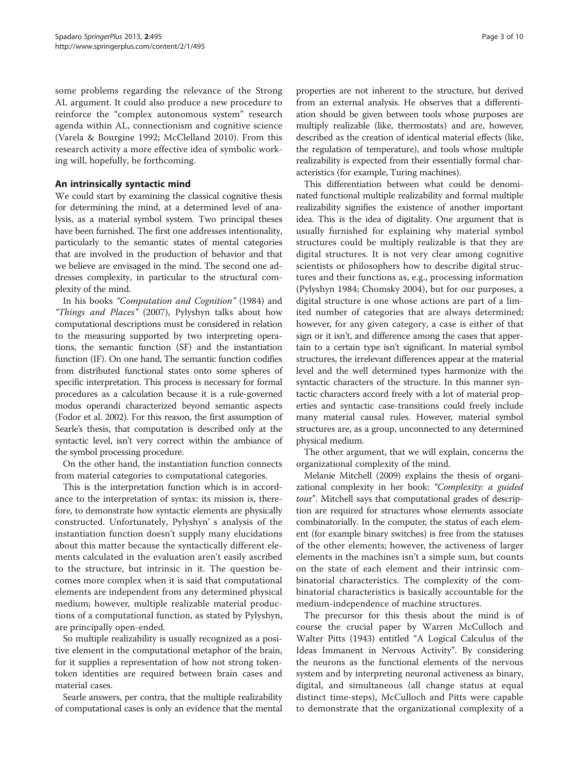some problems regarding the relevance of the Strong AL argument. It could also produce a new procedure to reinforce the "complex autonomous system" research agenda within AL, connectionism and cognitive science (Varela & Bourgine [1992](#page-9-0); McClelland [2010](#page-9-0)). From this research activity a more effective idea of symbolic working will, hopefully, be forthcoming.

## An intrinsically syntactic mind

We could start by examining the classical cognitive thesis for determining the mind, at a determined level of analysis, as a material symbol system. Two principal theses have been furnished. The first one addresses intentionality, particularly to the semantic states of mental categories that are involved in the production of behavior and that we believe are envisaged in the mind. The second one addresses complexity, in particular to the structural complexity of the mind.

In his books "Computation and Cognition" [\(1984\)](#page-9-0) and "Things and Places" [\(2007\)](#page-9-0), Pylyshyn talks about how computational descriptions must be considered in relation to the measuring supported by two interpreting operations, the semantic function (SF) and the instantiation function (IF). On one hand, The semantic function codifies from distributed functional states onto some spheres of specific interpretation. This process is necessary for formal procedures as a calculation because it is a rule-governed modus operandi characterized beyond semantic aspects (Fodor et al. [2002](#page-9-0)). For this reason, the first assumption of Searle's thesis, that computation is described only at the syntactic level, isn't very correct within the ambiance of the symbol processing procedure.

On the other hand, the instantiation function connects from material categories to computational categories.

This is the interpretation function which is in accordance to the interpretation of syntax: its mission is, therefore, to demonstrate how syntactic elements are physically constructed. Unfortunately, Pylyshyn' s analysis of the instantiation function doesn't supply many elucidations about this matter because the syntactically different elements calculated in the evaluation aren't easily ascribed to the structure, but intrinsic in it. The question becomes more complex when it is said that computational elements are independent from any determined physical medium; however, multiple realizable material productions of a computational function, as stated by Pylyshyn, are principally open-ended.

So multiple realizability is usually recognized as a positive element in the computational metaphor of the brain, for it supplies a representation of how not strong tokentoken identities are required between brain cases and material cases.

Searle answers, per contra, that the multiple realizability of computational cases is only an evidence that the mental

properties are not inherent to the structure, but derived from an external analysis. He observes that a differentiation should be given between tools whose purposes are multiply realizable (like, thermostats) and are, however, described as the creation of identical material effects (like, the regulation of temperature), and tools whose multiple realizability is expected from their essentially formal characteristics (for example, Turing machines).

This differentiation between what could be denominated functional multiple realizability and formal multiple realizability signifies the existence of another important idea. This is the idea of digitality. One argument that is usually furnished for explaining why material symbol structures could be multiply realizable is that they are digital structures. It is not very clear among cognitive scientists or philosophers how to describe digital structures and their functions as, e.g., processing information (Pylyshyn [1984](#page-9-0); Chomsky [2004](#page-9-0)), but for our purposes, a digital structure is one whose actions are part of a limited number of categories that are always determined; however, for any given category, a case is either of that sign or it isn't, and difference among the cases that appertain to a certain type isn't significant. In material symbol structures, the irrelevant differences appear at the material level and the well determined types harmonize with the syntactic characters of the structure. In this manner syntactic characters accord freely with a lot of material properties and syntactic case-transitions could freely include many material causal rules. However, material symbol structures are, as a group, unconnected to any determined physical medium.

The other argument, that we will explain, concerns the organizational complexity of the mind.

Melanie Mitchell [\(2009](#page-9-0)) explains the thesis of organizational complexity in her book: "Complexity: a guided tour". Mitchell says that computational grades of description are required for structures whose elements associate combinatorially. In the computer, the status of each element (for example binary switches) is free from the statuses of the other elements; however, the activeness of larger elements in the machines isn't a simple sum, but counts on the state of each element and their intrinsic combinatorial characteristics. The complexity of the combinatorial characteristics is basically accountable for the medium-independence of machine structures.

The precursor for this thesis about the mind is of course the crucial paper by Warren McCulloch and Walter Pitts [\(1943\)](#page-9-0) entitled "A Logical Calculus of the Ideas Immanent in Nervous Activity". By considering the neurons as the functional elements of the nervous system and by interpreting neuronal activeness as binary, digital, and simultaneous (all change status at equal distinct time-steps), McCulloch and Pitts were capable to demonstrate that the organizational complexity of a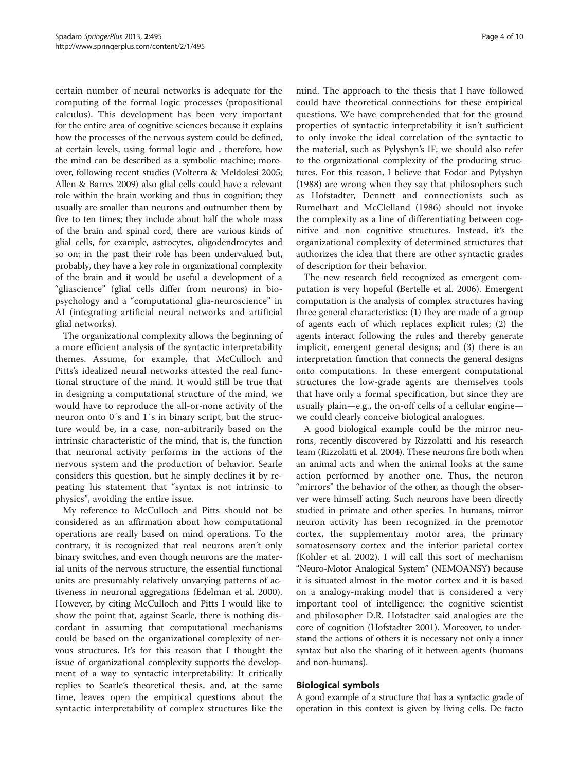certain number of neural networks is adequate for the computing of the formal logic processes (propositional calculus). This development has been very important for the entire area of cognitive sciences because it explains how the processes of the nervous system could be defined, at certain levels, using formal logic and , therefore, how the mind can be described as a symbolic machine; moreover, following recent studies (Volterra & Meldolesi [2005](#page-9-0); Allen & Barres [2009](#page-9-0)) also glial cells could have a relevant role within the brain working and thus in cognition; they usually are smaller than neurons and outnumber them by five to ten times; they include about half the whole mass of the brain and spinal cord, there are various kinds of glial cells, for example, astrocytes, oligodendrocytes and so on; in the past their role has been undervalued but, probably, they have a key role in organizational complexity of the brain and it would be useful a development of a "gliascience" (glial cells differ from neurons) in biopsychology and a "computational glia-neuroscience" in AI (integrating artificial neural networks and artificial glial networks).

The organizational complexity allows the beginning of a more efficient analysis of the syntactic interpretability themes. Assume, for example, that McCulloch and Pitts's idealized neural networks attested the real functional structure of the mind. It would still be true that in designing a computational structure of the mind, we would have to reproduce the all-or-none activity of the neuron onto 0′s and 1′s in binary script, but the structure would be, in a case, non-arbitrarily based on the intrinsic characteristic of the mind, that is, the function that neuronal activity performs in the actions of the nervous system and the production of behavior. Searle considers this question, but he simply declines it by repeating his statement that "syntax is not intrinsic to physics", avoiding the entire issue.

My reference to McCulloch and Pitts should not be considered as an affirmation about how computational operations are really based on mind operations. To the contrary, it is recognized that real neurons aren't only binary switches, and even though neurons are the material units of the nervous structure, the essential functional units are presumably relatively unvarying patterns of activeness in neuronal aggregations (Edelman et al. [2000](#page-9-0)). However, by citing McCulloch and Pitts I would like to show the point that, against Searle, there is nothing discordant in assuming that computational mechanisms could be based on the organizational complexity of nervous structures. It's for this reason that I thought the issue of organizational complexity supports the development of a way to syntactic interpretability: It critically replies to Searle's theoretical thesis, and, at the same time, leaves open the empirical questions about the syntactic interpretability of complex structures like the

mind. The approach to the thesis that I have followed could have theoretical connections for these empirical questions. We have comprehended that for the ground properties of syntactic interpretability it isn't sufficient to only invoke the ideal correlation of the syntactic to the material, such as Pylyshyn's IF; we should also refer to the organizational complexity of the producing structures. For this reason, I believe that Fodor and Pylyshyn ([1988\)](#page-9-0) are wrong when they say that philosophers such as Hofstadter, Dennett and connectionists such as Rumelhart and McClelland ([1986\)](#page-9-0) should not invoke the complexity as a line of differentiating between cognitive and non cognitive structures. Instead, it's the organizational complexity of determined structures that authorizes the idea that there are other syntactic grades of description for their behavior.

The new research field recognized as emergent computation is very hopeful (Bertelle et al. [2006\)](#page-9-0). Emergent computation is the analysis of complex structures having three general characteristics: (1) they are made of a group of agents each of which replaces explicit rules; (2) the agents interact following the rules and thereby generate implicit, emergent general designs; and (3) there is an interpretation function that connects the general designs onto computations. In these emergent computational structures the low-grade agents are themselves tools that have only a formal specification, but since they are usually plain—e.g., the on-off cells of a cellular engine we could clearly conceive biological analogues.

A good biological example could be the mirror neurons, recently discovered by Rizzolatti and his research team (Rizzolatti et al. [2004\)](#page-9-0). These neurons fire both when an animal acts and when the animal looks at the same action performed by another one. Thus, the neuron "mirrors" the behavior of the other, as though the observer were himself acting. Such neurons have been directly studied in primate and other species. In humans, mirror neuron activity has been recognized in the premotor cortex, the supplementary motor area, the primary somatosensory cortex and the inferior parietal cortex (Kohler et al. [2002](#page-9-0)). I will call this sort of mechanism "Neuro-Motor Analogical System" (NEMOANSY) because it is situated almost in the motor cortex and it is based on a analogy-making model that is considered a very important tool of intelligence: the cognitive scientist and philosopher D.R. Hofstadter said analogies are the core of cognition (Hofstadter [2001\)](#page-9-0). Moreover, to understand the actions of others it is necessary not only a inner syntax but also the sharing of it between agents (humans and non-humans).

## Biological symbols

A good example of a structure that has a syntactic grade of operation in this context is given by living cells. De facto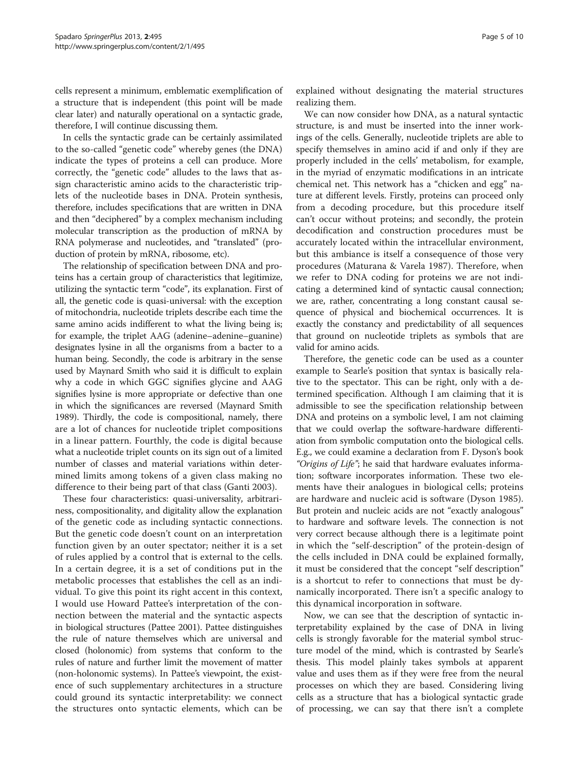cells represent a minimum, emblematic exemplification of a structure that is independent (this point will be made clear later) and naturally operational on a syntactic grade, therefore, I will continue discussing them.

In cells the syntactic grade can be certainly assimilated to the so-called "genetic code" whereby genes (the DNA) indicate the types of proteins a cell can produce. More correctly, the "genetic code" alludes to the laws that assign characteristic amino acids to the characteristic triplets of the nucleotide bases in DNA. Protein synthesis, therefore, includes specifications that are written in DNA and then "deciphered" by a complex mechanism including molecular transcription as the production of mRNA by RNA polymerase and nucleotides, and "translated" (production of protein by mRNA, ribosome, etc).

The relationship of specification between DNA and proteins has a certain group of characteristics that legitimize, utilizing the syntactic term "code", its explanation. First of all, the genetic code is quasi-universal: with the exception of mitochondria, nucleotide triplets describe each time the same amino acids indifferent to what the living being is; for example, the triplet AAG (adenine–adenine–guanine) designates lysine in all the organisms from a bacter to a human being. Secondly, the code is arbitrary in the sense used by Maynard Smith who said it is difficult to explain why a code in which GGC signifies glycine and AAG signifies lysine is more appropriate or defective than one in which the significances are reversed (Maynard Smith [1989\)](#page-9-0). Thirdly, the code is compositional, namely, there are a lot of chances for nucleotide triplet compositions in a linear pattern. Fourthly, the code is digital because what a nucleotide triplet counts on its sign out of a limited number of classes and material variations within determined limits among tokens of a given class making no difference to their being part of that class (Ganti [2003\)](#page-9-0).

These four characteristics: quasi-universality, arbitrariness, compositionality, and digitality allow the explanation of the genetic code as including syntactic connections. But the genetic code doesn't count on an interpretation function given by an outer spectator; neither it is a set of rules applied by a control that is external to the cells. In a certain degree, it is a set of conditions put in the metabolic processes that establishes the cell as an individual. To give this point its right accent in this context, I would use Howard Pattee's interpretation of the connection between the material and the syntactic aspects in biological structures (Pattee [2001\)](#page-9-0). Pattee distinguishes the rule of nature themselves which are universal and closed (holonomic) from systems that conform to the rules of nature and further limit the movement of matter (non-holonomic systems). In Pattee's viewpoint, the existence of such supplementary architectures in a structure could ground its syntactic interpretability: we connect the structures onto syntactic elements, which can be

explained without designating the material structures realizing them.

We can now consider how DNA, as a natural syntactic structure, is and must be inserted into the inner workings of the cells. Generally, nucleotide triplets are able to specify themselves in amino acid if and only if they are properly included in the cells' metabolism, for example, in the myriad of enzymatic modifications in an intricate chemical net. This network has a "chicken and egg" nature at different levels. Firstly, proteins can proceed only from a decoding procedure, but this procedure itself can't occur without proteins; and secondly, the protein decodification and construction procedures must be accurately located within the intracellular environment, but this ambiance is itself a consequence of those very procedures (Maturana & Varela [1987\)](#page-9-0). Therefore, when we refer to DNA coding for proteins we are not indicating a determined kind of syntactic causal connection; we are, rather, concentrating a long constant causal sequence of physical and biochemical occurrences. It is exactly the constancy and predictability of all sequences that ground on nucleotide triplets as symbols that are valid for amino acids.

Therefore, the genetic code can be used as a counter example to Searle's position that syntax is basically relative to the spectator. This can be right, only with a determined specification. Although I am claiming that it is admissible to see the specification relationship between DNA and proteins on a symbolic level, I am not claiming that we could overlap the software-hardware differentiation from symbolic computation onto the biological cells. E.g., we could examine a declaration from F. Dyson's book "Origins of Life"; he said that hardware evaluates information; software incorporates information. These two elements have their analogues in biological cells; proteins are hardware and nucleic acid is software (Dyson [1985](#page-9-0)). But protein and nucleic acids are not "exactly analogous" to hardware and software levels. The connection is not very correct because although there is a legitimate point in which the "self-description" of the protein-design of the cells included in DNA could be explained formally, it must be considered that the concept "self description" is a shortcut to refer to connections that must be dynamically incorporated. There isn't a specific analogy to this dynamical incorporation in software.

Now, we can see that the description of syntactic interpretability explained by the case of DNA in living cells is strongly favorable for the material symbol structure model of the mind, which is contrasted by Searle's thesis. This model plainly takes symbols at apparent value and uses them as if they were free from the neural processes on which they are based. Considering living cells as a structure that has a biological syntactic grade of processing, we can say that there isn't a complete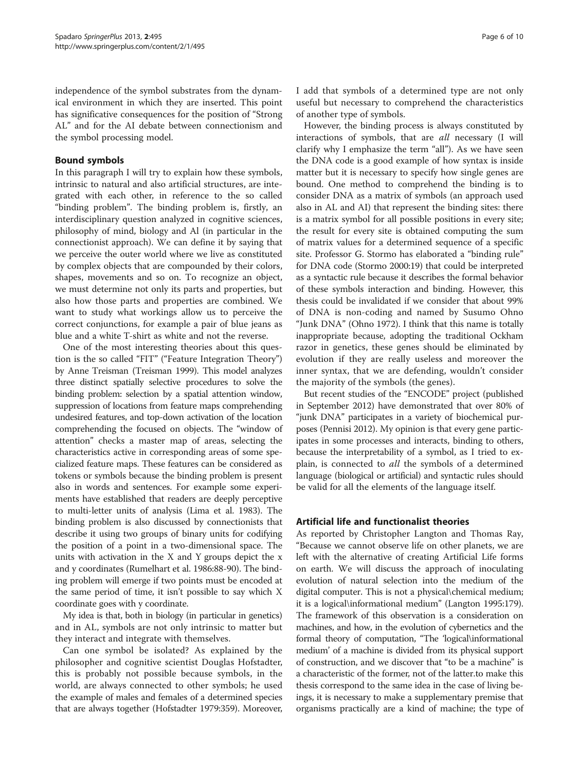independence of the symbol substrates from the dynamical environment in which they are inserted. This point has significative consequences for the position of "Strong AL" and for the AI debate between connectionism and the symbol processing model.

### Bound symbols

In this paragraph I will try to explain how these symbols, intrinsic to natural and also artificial structures, are integrated with each other, in reference to the so called "binding problem". The binding problem is, firstly, an interdisciplinary question analyzed in cognitive sciences, philosophy of mind, biology and Al (in particular in the connectionist approach). We can define it by saying that we perceive the outer world where we live as constituted by complex objects that are compounded by their colors, shapes, movements and so on. To recognize an object, we must determine not only its parts and properties, but also how those parts and properties are combined. We want to study what workings allow us to perceive the correct conjunctions, for example a pair of blue jeans as blue and a white T-shirt as white and not the reverse.

One of the most interesting theories about this question is the so called "FIT" ("Feature Integration Theory") by Anne Treisman (Treisman [1999\)](#page-9-0). This model analyzes three distinct spatially selective procedures to solve the binding problem: selection by a spatial attention window, suppression of locations from feature maps comprehending undesired features, and top-down activation of the location comprehending the focused on objects. The "window of attention" checks a master map of areas, selecting the characteristics active in corresponding areas of some specialized feature maps. These features can be considered as tokens or symbols because the binding problem is present also in words and sentences. For example some experiments have established that readers are deeply perceptive to multi-letter units of analysis (Lima et al. [1983\)](#page-9-0). The binding problem is also discussed by connectionists that describe it using two groups of binary units for codifying the position of a point in a two-dimensional space. The units with activation in the X and Y groups depict the x and y coordinates (Rumelhart et al. [1986](#page-9-0):88-90). The binding problem will emerge if two points must be encoded at the same period of time, it isn't possible to say which X coordinate goes with y coordinate.

My idea is that, both in biology (in particular in genetics) and in AL, symbols are not only intrinsic to matter but they interact and integrate with themselves.

Can one symbol be isolated? As explained by the philosopher and cognitive scientist Douglas Hofstadter, this is probably not possible because symbols, in the world, are always connected to other symbols; he used the example of males and females of a determined species that are always together (Hofstadter [1979:](#page-9-0)359). Moreover, I add that symbols of a determined type are not only useful but necessary to comprehend the characteristics of another type of symbols.

However, the binding process is always constituted by interactions of symbols, that are all necessary (I will clarify why I emphasize the term "all"). As we have seen the DNA code is a good example of how syntax is inside matter but it is necessary to specify how single genes are bound. One method to comprehend the binding is to consider DNA as a matrix of symbols (an approach used also in AL and AI) that represent the binding sites: there is a matrix symbol for all possible positions in every site; the result for every site is obtained computing the sum of matrix values for a determined sequence of a specific site. Professor G. Stormo has elaborated a "binding rule" for DNA code (Stormo [2000](#page-9-0):19) that could be interpreted as a syntactic rule because it describes the formal behavior of these symbols interaction and binding. However, this thesis could be invalidated if we consider that about 99% of DNA is non-coding and named by Susumo Ohno "Junk DNA" (Ohno [1972\)](#page-9-0). I think that this name is totally inappropriate because, adopting the traditional Ockham razor in genetics, these genes should be eliminated by evolution if they are really useless and moreover the inner syntax, that we are defending, wouldn't consider the majority of the symbols (the genes).

But recent studies of the "ENCODE" project (published in September 2012) have demonstrated that over 80% of "junk DNA" participates in a variety of biochemical purposes (Pennisi [2012](#page-9-0)). My opinion is that every gene participates in some processes and interacts, binding to others, because the interpretability of a symbol, as I tried to explain, is connected to all the symbols of a determined language (biological or artificial) and syntactic rules should be valid for all the elements of the language itself.

## Artificial life and functionalist theories

As reported by Christopher Langton and Thomas Ray, "Because we cannot observe life on other planets, we are left with the alternative of creating Artificial Life forms on earth. We will discuss the approach of inoculating evolution of natural selection into the medium of the digital computer. This is not a physical\chemical medium; it is a logical\informational medium" (Langton [1995:](#page-9-0)179). The framework of this observation is a consideration on machines, and how, in the evolution of cybernetics and the formal theory of computation, "The 'logical\informational medium' of a machine is divided from its physical support of construction, and we discover that "to be a machine" is a characteristic of the former, not of the latter.to make this thesis correspond to the same idea in the case of living beings, it is necessary to make a supplementary premise that organisms practically are a kind of machine; the type of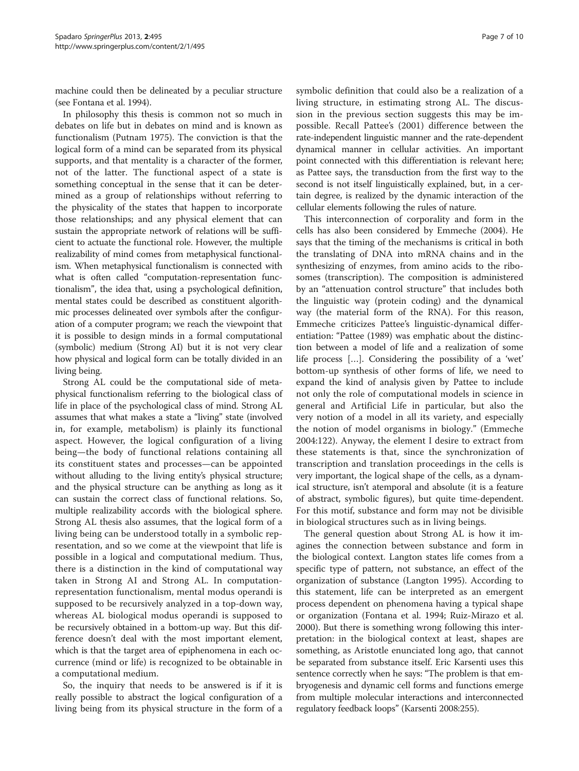machine could then be delineated by a peculiar structure (see Fontana et al. [1994\)](#page-9-0).

In philosophy this thesis is common not so much in debates on life but in debates on mind and is known as functionalism (Putnam [1975](#page-9-0)). The conviction is that the logical form of a mind can be separated from its physical supports, and that mentality is a character of the former, not of the latter. The functional aspect of a state is something conceptual in the sense that it can be determined as a group of relationships without referring to the physicality of the states that happen to incorporate those relationships; and any physical element that can sustain the appropriate network of relations will be sufficient to actuate the functional role. However, the multiple realizability of mind comes from metaphysical functionalism. When metaphysical functionalism is connected with what is often called "computation-representation functionalism", the idea that, using a psychological definition, mental states could be described as constituent algorithmic processes delineated over symbols after the configuration of a computer program; we reach the viewpoint that it is possible to design minds in a formal computational (symbolic) medium (Strong AI) but it is not very clear how physical and logical form can be totally divided in an living being.

Strong AL could be the computational side of metaphysical functionalism referring to the biological class of life in place of the psychological class of mind. Strong AL assumes that what makes a state a "living" state (involved in, for example, metabolism) is plainly its functional aspect. However, the logical configuration of a living being—the body of functional relations containing all its constituent states and processes—can be appointed without alluding to the living entity's physical structure; and the physical structure can be anything as long as it can sustain the correct class of functional relations. So, multiple realizability accords with the biological sphere. Strong AL thesis also assumes, that the logical form of a living being can be understood totally in a symbolic representation, and so we come at the viewpoint that life is possible in a logical and computational medium. Thus, there is a distinction in the kind of computational way taken in Strong AI and Strong AL. In computationrepresentation functionalism, mental modus operandi is supposed to be recursively analyzed in a top-down way, whereas AL biological modus operandi is supposed to be recursively obtained in a bottom-up way. But this difference doesn't deal with the most important element, which is that the target area of epiphenomena in each occurrence (mind or life) is recognized to be obtainable in a computational medium.

So, the inquiry that needs to be answered is if it is really possible to abstract the logical configuration of a living being from its physical structure in the form of a

symbolic definition that could also be a realization of a living structure, in estimating strong AL. The discussion in the previous section suggests this may be impossible. Recall Pattee's ([2001](#page-9-0)) difference between the rate-independent linguistic manner and the rate-dependent dynamical manner in cellular activities. An important point connected with this differentiation is relevant here; as Pattee says, the transduction from the first way to the second is not itself linguistically explained, but, in a certain degree, is realized by the dynamic interaction of the cellular elements following the rules of nature.

This interconnection of corporality and form in the cells has also been considered by Emmeche ([2004](#page-9-0)). He says that the timing of the mechanisms is critical in both the translating of DNA into mRNA chains and in the synthesizing of enzymes, from amino acids to the ribosomes (transcription). The composition is administered by an "attenuation control structure" that includes both the linguistic way (protein coding) and the dynamical way (the material form of the RNA). For this reason, Emmeche criticizes Pattee's linguistic-dynamical differentiation: "Pattee [\(1989\)](#page-9-0) was emphatic about the distinction between a model of life and a realization of some life process […]. Considering the possibility of a 'wet' bottom-up synthesis of other forms of life, we need to expand the kind of analysis given by Pattee to include not only the role of computational models in science in general and Artificial Life in particular, but also the very notion of a model in all its variety, and especially the notion of model organisms in biology." (Emmeche [2004:](#page-9-0)122). Anyway, the element I desire to extract from these statements is that, since the synchronization of transcription and translation proceedings in the cells is very important, the logical shape of the cells, as a dynamical structure, isn't atemporal and absolute (it is a feature of abstract, symbolic figures), but quite time-dependent. For this motif, substance and form may not be divisible in biological structures such as in living beings.

The general question about Strong AL is how it imagines the connection between substance and form in the biological context. Langton states life comes from a specific type of pattern, not substance, an effect of the organization of substance (Langton [1995](#page-9-0)). According to this statement, life can be interpreted as an emergent process dependent on phenomena having a typical shape or organization (Fontana et al. [1994;](#page-9-0) Ruiz-Mirazo et al. [2000](#page-9-0)). But there is something wrong following this interpretation: in the biological context at least, shapes are something, as Aristotle enunciated long ago, that cannot be separated from substance itself. Eric Karsenti uses this sentence correctly when he says: "The problem is that embryogenesis and dynamic cell forms and functions emerge from multiple molecular interactions and interconnected regulatory feedback loops" (Karsenti [2008](#page-9-0):255).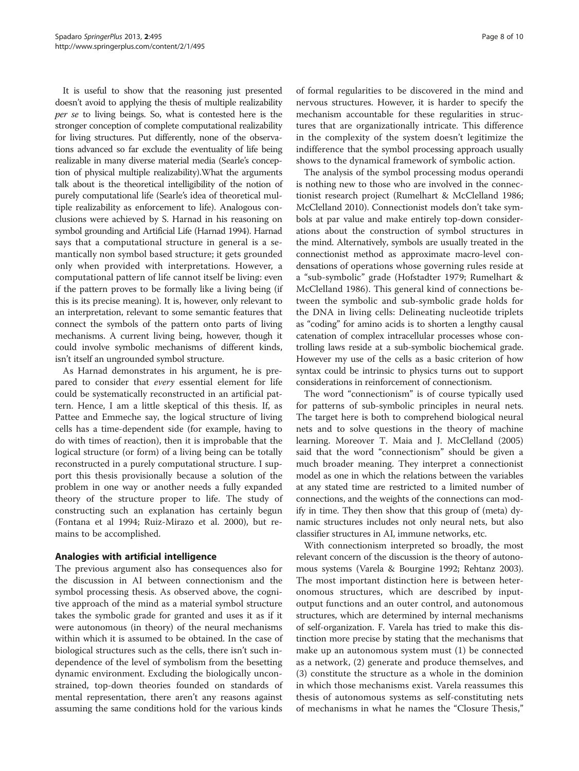It is useful to show that the reasoning just presented doesn't avoid to applying the thesis of multiple realizability per se to living beings. So, what is contested here is the stronger conception of complete computational realizability for living structures. Put differently, none of the observations advanced so far exclude the eventuality of life being realizable in many diverse material media (Searle's conception of physical multiple realizability).What the arguments talk about is the theoretical intelligibility of the notion of purely computational life (Searle's idea of theoretical multiple realizability as enforcement to life). Analogous conclusions were achieved by S. Harnad in his reasoning on symbol grounding and Artificial Life (Harnad [1994\)](#page-9-0). Harnad says that a computational structure in general is a semantically non symbol based structure; it gets grounded only when provided with interpretations. However, a computational pattern of life cannot itself be living: even if the pattern proves to be formally like a living being (if this is its precise meaning). It is, however, only relevant to an interpretation, relevant to some semantic features that connect the symbols of the pattern onto parts of living mechanisms. A current living being, however, though it could involve symbolic mechanisms of different kinds, isn't itself an ungrounded symbol structure.

As Harnad demonstrates in his argument, he is prepared to consider that every essential element for life could be systematically reconstructed in an artificial pattern. Hence, I am a little skeptical of this thesis. If, as Pattee and Emmeche say, the logical structure of living cells has a time-dependent side (for example, having to do with times of reaction), then it is improbable that the logical structure (or form) of a living being can be totally reconstructed in a purely computational structure. I support this thesis provisionally because a solution of the problem in one way or another needs a fully expanded theory of the structure proper to life. The study of constructing such an explanation has certainly begun (Fontana et al [1994;](#page-9-0) Ruiz-Mirazo et al. [2000](#page-9-0)), but remains to be accomplished.

### Analogies with artificial intelligence

The previous argument also has consequences also for the discussion in AI between connectionism and the symbol processing thesis. As observed above, the cognitive approach of the mind as a material symbol structure takes the symbolic grade for granted and uses it as if it were autonomous (in theory) of the neural mechanisms within which it is assumed to be obtained. In the case of biological structures such as the cells, there isn't such independence of the level of symbolism from the besetting dynamic environment. Excluding the biologically unconstrained, top-down theories founded on standards of mental representation, there aren't any reasons against assuming the same conditions hold for the various kinds

of formal regularities to be discovered in the mind and nervous structures. However, it is harder to specify the mechanism accountable for these regularities in structures that are organizationally intricate. This difference in the complexity of the system doesn't legitimize the indifference that the symbol processing approach usually shows to the dynamical framework of symbolic action.

The analysis of the symbol processing modus operandi is nothing new to those who are involved in the connectionist research project (Rumelhart & McClelland [1986](#page-9-0); McClelland [2010\)](#page-9-0). Connectionist models don't take symbols at par value and make entirely top-down considerations about the construction of symbol structures in the mind. Alternatively, symbols are usually treated in the connectionist method as approximate macro-level condensations of operations whose governing rules reside at a "sub-symbolic" grade (Hofstadter [1979;](#page-9-0) Rumelhart & McClelland [1986\)](#page-9-0). This general kind of connections between the symbolic and sub-symbolic grade holds for the DNA in living cells: Delineating nucleotide triplets as "coding" for amino acids is to shorten a lengthy causal catenation of complex intracellular processes whose controlling laws reside at a sub-symbolic biochemical grade. However my use of the cells as a basic criterion of how syntax could be intrinsic to physics turns out to support considerations in reinforcement of connectionism.

The word "connectionism" is of course typically used for patterns of sub-symbolic principles in neural nets. The target here is both to comprehend biological neural nets and to solve questions in the theory of machine learning. Moreover T. Maia and J. McClelland ([2005](#page-9-0)) said that the word "connectionism" should be given a much broader meaning. They interpret a connectionist model as one in which the relations between the variables at any stated time are restricted to a limited number of connections, and the weights of the connections can modify in time. They then show that this group of (meta) dynamic structures includes not only neural nets, but also classifier structures in AI, immune networks, etc.

With connectionism interpreted so broadly, the most relevant concern of the discussion is the theory of autonomous systems (Varela & Bourgine [1992;](#page-9-0) Rehtanz [2003](#page-9-0)). The most important distinction here is between heteronomous structures, which are described by inputoutput functions and an outer control, and autonomous structures, which are determined by internal mechanisms of self-organization. F. Varela has tried to make this distinction more precise by stating that the mechanisms that make up an autonomous system must (1) be connected as a network, (2) generate and produce themselves, and (3) constitute the structure as a whole in the dominion in which those mechanisms exist. Varela reassumes this thesis of autonomous systems as self-constituting nets of mechanisms in what he names the "Closure Thesis,"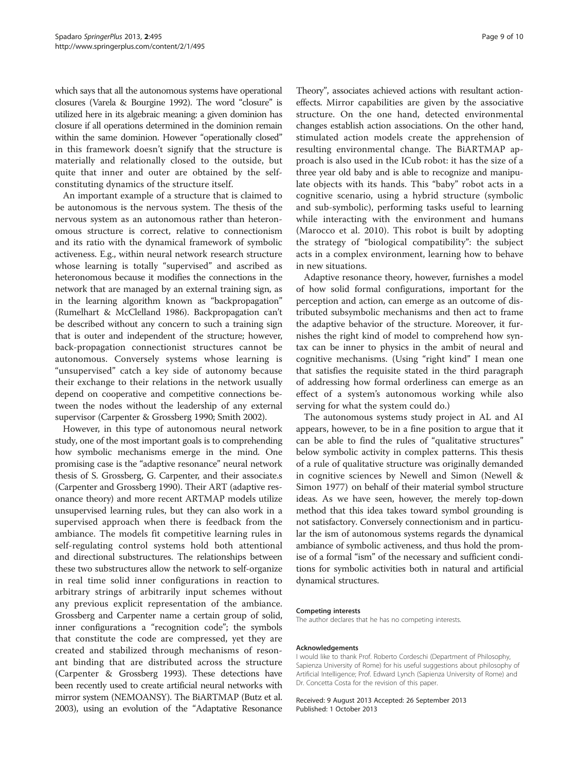which says that all the autonomous systems have operational closures (Varela & Bourgine [1992\)](#page-9-0). The word "closure" is utilized here in its algebraic meaning: a given dominion has closure if all operations determined in the dominion remain within the same dominion. However "operationally closed" in this framework doesn't signify that the structure is materially and relationally closed to the outside, but quite that inner and outer are obtained by the selfconstituting dynamics of the structure itself.

An important example of a structure that is claimed to be autonomous is the nervous system. The thesis of the nervous system as an autonomous rather than heteronomous structure is correct, relative to connectionism and its ratio with the dynamical framework of symbolic activeness. E.g., within neural network research structure whose learning is totally "supervised" and ascribed as heteronomous because it modifies the connections in the network that are managed by an external training sign, as in the learning algorithm known as "backpropagation" (Rumelhart & McClelland [1986](#page-9-0)). Backpropagation can't be described without any concern to such a training sign that is outer and independent of the structure; however, back-propagation connectionist structures cannot be autonomous. Conversely systems whose learning is "unsupervised" catch a key side of autonomy because their exchange to their relations in the network usually depend on cooperative and competitive connections between the nodes without the leadership of any external supervisor (Carpenter & Grossberg [1990](#page-9-0); Smith [2002](#page-9-0)).

However, in this type of autonomous neural network study, one of the most important goals is to comprehending how symbolic mechanisms emerge in the mind. One promising case is the "adaptive resonance" neural network thesis of S. Grossberg, G. Carpenter, and their associate.s (Carpenter and Grossberg [1990](#page-9-0)). Their ART (adaptive resonance theory) and more recent ARTMAP models utilize unsupervised learning rules, but they can also work in a supervised approach when there is feedback from the ambiance. The models fit competitive learning rules in self-regulating control systems hold both attentional and directional substructures. The relationships between these two substructures allow the network to self-organize in real time solid inner configurations in reaction to arbitrary strings of arbitrarily input schemes without any previous explicit representation of the ambiance. Grossberg and Carpenter name a certain group of solid, inner configurations a "recognition code"; the symbols that constitute the code are compressed, yet they are created and stabilized through mechanisms of resonant binding that are distributed across the structure (Carpenter & Grossberg [1993](#page-9-0)). These detections have been recently used to create artificial neural networks with mirror system (NEMOANSY). The BiARTMAP (Butz et al. [2003\)](#page-9-0), using an evolution of the "Adaptative Resonance

Theory", associates achieved actions with resultant actioneffects. Mirror capabilities are given by the associative structure. On the one hand, detected environmental changes establish action associations. On the other hand, stimulated action models create the apprehension of resulting environmental change. The BiARTMAP approach is also used in the ICub robot: it has the size of a three year old baby and is able to recognize and manipulate objects with its hands. This "baby" robot acts in a cognitive scenario, using a hybrid structure (symbolic and sub-symbolic), performing tasks useful to learning while interacting with the environment and humans (Marocco et al. [2010\)](#page-9-0). This robot is built by adopting the strategy of "biological compatibility": the subject acts in a complex environment, learning how to behave in new situations.

Adaptive resonance theory, however, furnishes a model of how solid formal configurations, important for the perception and action, can emerge as an outcome of distributed subsymbolic mechanisms and then act to frame the adaptive behavior of the structure. Moreover, it furnishes the right kind of model to comprehend how syntax can be inner to physics in the ambit of neural and cognitive mechanisms. (Using "right kind" I mean one that satisfies the requisite stated in the third paragraph of addressing how formal orderliness can emerge as an effect of a system's autonomous working while also serving for what the system could do.)

The autonomous systems study project in AL and AI appears, however, to be in a fine position to argue that it can be able to find the rules of "qualitative structures" below symbolic activity in complex patterns. This thesis of a rule of qualitative structure was originally demanded in cognitive sciences by Newell and Simon (Newell & Simon [1977](#page-9-0)) on behalf of their material symbol structure ideas. As we have seen, however, the merely top-down method that this idea takes toward symbol grounding is not satisfactory. Conversely connectionism and in particular the ism of autonomous systems regards the dynamical ambiance of symbolic activeness, and thus hold the promise of a formal "ism" of the necessary and sufficient conditions for symbolic activities both in natural and artificial dynamical structures.

#### Competing interests

The author declares that he has no competing interests.

#### Acknowledgements

I would like to thank Prof. Roberto Cordeschi (Department of Philosophy, Sapienza University of Rome) for his useful suggestions about philosophy of Artificial Intelligence; Prof. Edward Lynch (Sapienza University of Rome) and Dr. Concetta Costa for the revision of this paper.

Received: 9 August 2013 Accepted: 26 September 2013 Published: 1 October 2013